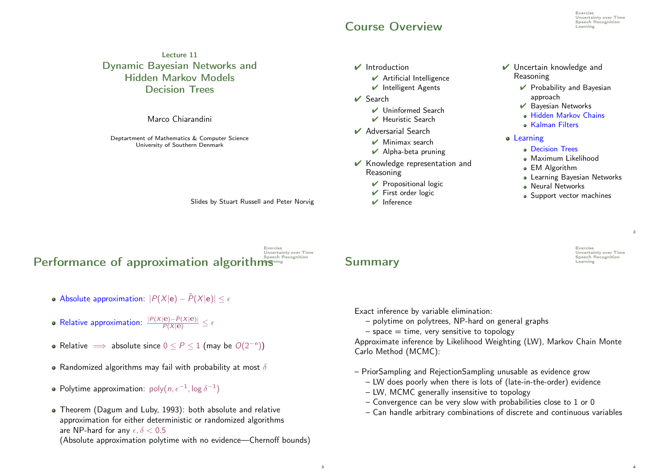## Course Overview Learning

Exercise **Uncertainty over Time**<br>Speech Recognition

Lecture 11 Dynamic Bayesian Networks and Hidden Markov Models Decision Trees

Marco Chiarandini

Deptartment of Mathematics & Computer Science University of Southern Denmark

Slides by Stuart Russell and Peter Norvig

#### Exercise Uncertainty over Time Performance of approximation algorithms<sup>precent</sup>

- Absolute approximation:  $|P(X|e) \hat{P}(X|e)| < \epsilon$
- Relative approximation:  $\frac{|P(X|\mathbf{e}) \hat{P}(X|\mathbf{e})|}{P(X|\mathbf{e})} \leq \epsilon$
- Relative  $\implies$  absolute since  $0 \le P \le 1$  (may be  $O(2^{-n})$ )
- Randomized algorithms may fail with probability at most  $\delta$
- Polytime approximation:  $\text{poly}(n, \epsilon^{-1}, \log \delta^{-1})$
- Theorem (Dagum and Luby, 1993): both absolute and relative approximation for either deterministic or randomized algorithms are NP-hard for any  $\epsilon, \delta < 0.5$

(Absolute approximation polytime with no evidence—Chernoff bounds)

- $\vee$  Introduction
	- $\vee$  Artificial Intelligence
	- $\vee$  Intelligent Agents
- ✔ Search
	- ✔ Uninformed Search
	- ✔ Heuristic Search
- ✔ Adversarial Search
	- $\nu$  Minimax search
	- $\vee$  Alpha-beta pruning
- ✔ Knowledge representation and Reasoning
	- $\vee$  Propositional logic
	- $\vee$  First order logic
	- $\vee$  Inference
- ✔ Uncertain knowledge and Reasoning
	- $\vee$  Probability and Bayesian approach
	- ✔ Bayesian Networks
	- Hidden Markov Chains
	- Kalman Filters
- **•** Learning
	- Decision Trees
	- Maximum Likelihood
	- EM Algorithm
	- Learning Bayesian Networks
	- Neural Networks
	- Support vector machines

 $\overline{2}$ 

4

Exercise Uncertainty over Time<br>Speech Recognition Summary **Example 2018** 

Exact inference by variable elimination:

– polytime on polytrees, NP-hard on general graphs

 $-$  space  $=$  time, very sensitive to topology

Approximate inference by Likelihood Weighting (LW), Markov Chain Monte Carlo Method (MCMC):

– PriorSampling and RejectionSampling unusable as evidence grow

- LW does poorly when there is lots of (late-in-the-order) evidence
- LW, MCMC generally insensitive to topology
- Convergence can be very slow with probabilities close to 1 or 0
- Can handle arbitrary combinations of discrete and continuous variables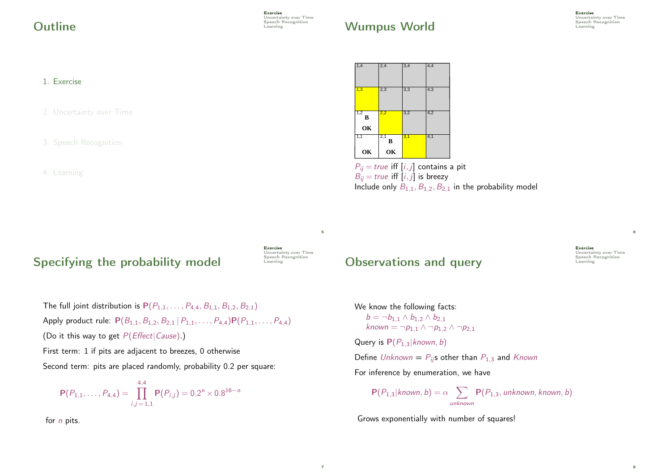**Outline** Speech Recognition Contract Recognition Contract Recognition Contract Recognition Contract Recognition

# Wumpus World **Examples**

#### 1. Exercise

2. Uncertainty over Time

4. Learning

# Specifying the probability model  $\overline{\phantom{a}}$

Exercise Uncertainty over Time<br>Speech Recognition 5

7

The full joint distribution is  $P(P_{1,1},...,P_{4,4},B_{1,1},B_{1,2},B_{2,1})$ Apply product rule:  $P(B_{1,1}, B_{1,2}, B_{2,1} | P_{1,1}, \ldots, P_{4,4}) P(P_{1,1}, \ldots, P_{4,4})$ (Do it this way to get  $P(Effect|Cause).$ )

First term: 1 if pits are adjacent to breezes, 0 otherwise

Second term: pits are placed randomly, probability 0.2 per square:

$$
\mathbf{P}(P_{1,1},\ldots,P_{4,4})=\prod_{i,j=1,1}^{4,4}\mathbf{P}(P_{i,j})=0.2^{n}\times 0.8^{16-n}
$$

for *n* pits.



 $P_{ii}$  = true iff [i, j] contains a pit  $B_{ii}$  = true iff [i, j] is breezy Include only  $B_{1,1}, B_{1,2}, B_{2,1}$  in the probability model

Observations and query **Exercise Speech Learning** 

We know the following facts:  $b = \neg b_{1,1} \wedge b_{1,2} \wedge b_{2,1}$ known =  $\neg p_{1,1} \wedge \neg p_{1,2} \wedge \neg p_{2,1}$ Query is  $P(P_{1,3}|known, b)$ Define Unknown =  $P_{ij}$ s other than  $P_{1,3}$  and Known

For inference by enumeration, we have

$$
\mathbf{P}(P_{1,3}|known, b) = \alpha \sum_{unknown} \mathbf{P}(P_{1,3}, unknown, known, b)
$$

Grows exponentially with number of squares!

8

6

Exercise

Uncertainty over Time<br>Speech Recognition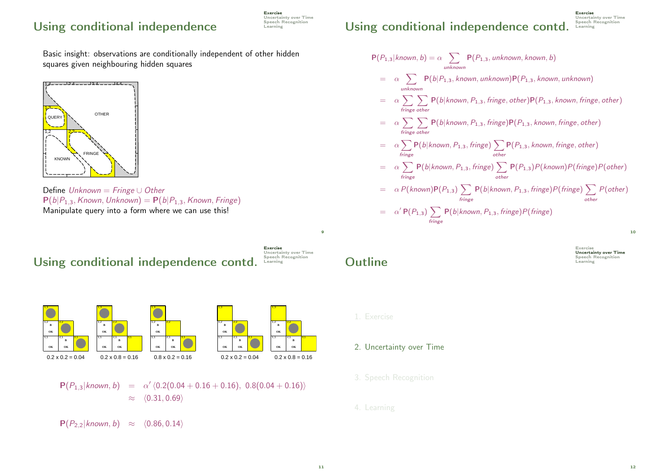## Using conditional independence Speech Recording

Exercise Uncertainty over Time<br>Speech Recognition

Basic insight: observations are conditionally independent of other hidden squares given neighbouring hidden squares



Define Unknown = Fringe ∪ Other  $P(b|P_{1,3},$  Known, Unknown) =  $P(b|P_{1,3},$  Known, Fringe) Manipulate query into a form where we can use this!



 $P(P_{2,2}|known, b) \approx \langle 0.86, 0.14 \rangle$ 

## Using conditional independence contd. Learning

$$
P(P_{1,3}|known, b) = \alpha \sum_{unknown} P(P_{1,3}, unknown, known, b)
$$
  
\n
$$
= \alpha \sum_{unknown} P(b|P_{1,3}, known, unknown)P(P_{1,3}, known, unknown)
$$
  
\n
$$
= \alpha \sum_{fringe \ other} P(b|known, P_{1,3}, fringe, other)P(P_{1,3}, known, fringe, other)
$$
  
\n
$$
= \alpha \sum_{fringe \ other} \sum_{other} P(b|known, P_{1,3}, fringe)P(P_{1,3}, known, fringe, other)
$$
  
\n
$$
= \alpha \sum_{fringe \ other} P(b|known, P_{1,3}, fringe) \sum_{other} P(P_{1,3}, known, fringe, other)
$$
  
\n
$$
= \alpha \sum_{fringe} P(b|known, P_{1,3}, fringe) \sum_{other} P(P_{1,3})P(known)P(fringe)P(other)
$$
  
\n
$$
= \alpha P(known)P(P_{1,3}) \sum_{fringe} P(b|known, P_{1,3}, fringe)P(fringe) \sum_{other} P(other)
$$
  
\n
$$
= \alpha' P(P_{1,3}) \sum_{fringe} P(b|known, P_{1,3}, fringe)P(fringe)
$$

**Outline** Speech Recognition Contract Recognition Contract Recognition Contract Recognition Contract Recognition

Exercise **Uncertainty over Time**<br>Speech Recognition 10

Exercise

Uncertainty over Time<br>Speech Recognition

1. Exercise

#### 2. Uncertainty over Time

- 
- 4. Learning

9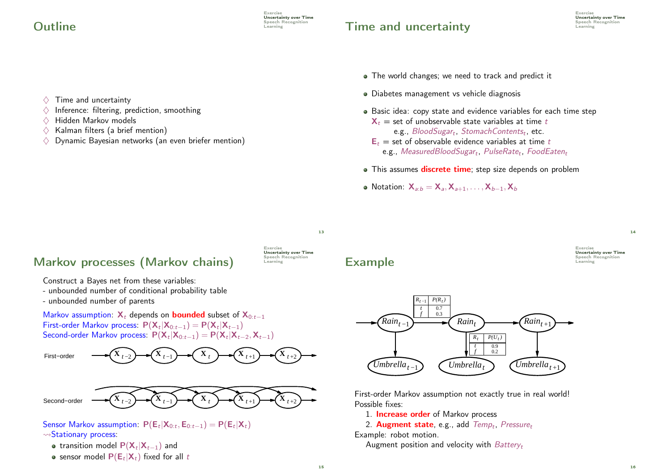## $\mathbf{Outline}$

# $\sum_{\text{Spectral}}$  Time and uncertainty



- The world changes; we need to track and predict it
- Diabetes management vs vehicle diagnosis
- Basic idea: copy state and evidence variables for each time step  $X_t$  = set of unobservable state variables at time t
	- e.g.,  $\mathcal{B}$ lood $\mathcal{S}$ ugar<sub>t</sub>, StomachContents<sub>t</sub>, etc.
	- $E_t$  = set of observable evidence variables at time t  $\mathsf{e.g.},\ Measured$ Blood $S$ ugar $_t,\ P$ ulse $R$ at $e_t,\ F$ ood $E$ ate $n_t$
- This assumes **discrete time**; step size depends on problem
- Notation:  $X_{a:b} = X_{a}, X_{a+1}, \ldots, X_{b-1}, X_b$

#### $\diamondsuit$  Time and uncertainty  $\Diamond$  Inference: filtering, prediction, smoothing

- $\Diamond$  Hidden Markov models
- $\Diamond$  Kalman filters (a brief mention)
- $\diamondsuit$  Dynamic Bayesian networks (an even briefer mention)

13

### Markov processes (Markov chains)



Construct a Bayes net from these variables:

- unbounded number of conditional probability table
- unbounded number of parents

Markov assumption:  $X_t$  depends on **bounded** subset of  $X_{0:t-1}$ First-order Markov process:  $P(X_t|X_{0:t-1}) = P(X_t|X_{t-1})$ Second-order Markov process:  $P(X_t|X_{0:t-1}) = P(X_t|X_{t-2}, X_{t-1})$ 





- Sensor Markov assumption:  $P(E_t|X_{0:t}, E_{0:t-1}) = P(E_t|X_t)$
- $\rightsquigarrow$ Stationary process:
	- transition model  $P(\mathsf{X}_t|\mathsf{X}_{t-1})$  and
	- sensor model  $\mathsf{P}(\mathsf{E}_t|\mathsf{X}_t)$  fixed for all  $t$

## Example Example

Exercise **Uncertainty over Time**<br>Speech Recognition 14



First-order Markov assumption not exactly true in real world! Possible fixes:

1. **Increase order** of Markov process

2. Augment state, e.g., add Temp<sub>t</sub>, Pressure<sub>t</sub>

Example: robot motion.

Augment position and velocity with  $BatterV_t$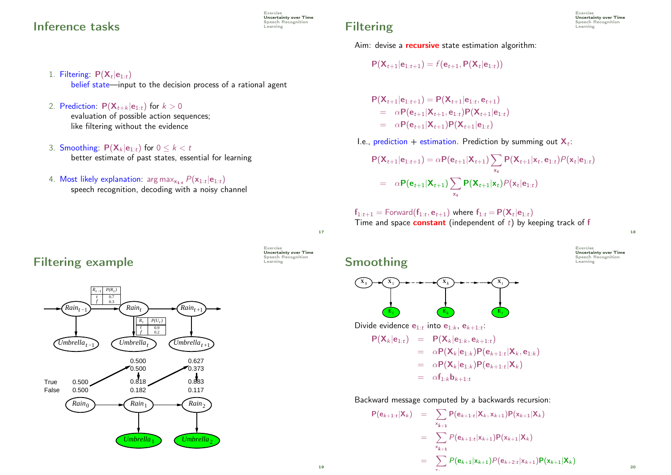### Inference tasks

- 1. Filtering:  $P(X_t|e_{1:t})$ belief state—input to the decision process of a rational agent
- 2. Prediction:  $P(\mathbf{X}_{t+k} | \mathbf{e}_{1:t})$  for  $k > 0$

evaluation of possible action sequences; like filtering without the evidence

- 3. Smoothing:  $P(X_k | e_{1:t})$  for  $0 \le k < t$ better estimate of past states, essential for learning
- 4. Most likely explanation:  $\arg\max_{\mathbf{x_{1:t}}} P(\mathbf{x}_{1:t}|\mathbf{e}_{1:t})$ speech recognition, decoding with a noisy channel

Aim: devise a **recursive** state estimation algorithm:

$$
P(X_{t+1}|e_{1:t+1}) = f(e_{t+1}, P(X_t|e_{1:t}))
$$

 $\mathsf{P}(\mathsf{X}_{t+1}|\mathsf{e}_{1:t+1}) = \mathsf{P}(\mathsf{X}_{t+1}|\mathsf{e}_{1:t}, \mathsf{e}_{t+1})$  $= \alpha P(e_{t+1} | X_{t+1}, e_{1:t}) P(X_{t+1} | e_{1:t})$ =  $\alpha P(e_{t+1}|\mathbf{X}_{t+1})P(\mathbf{X}_{t+1}|e_{1:t})$ 

I.e., prediction + estimation. Prediction by summing out  $\mathbf{X}_t$ :

$$
P(\mathbf{X}_{t+1}|\mathbf{e}_{1:t+1}) = \alpha P(\mathbf{e}_{t+1}|\mathbf{X}_{t+1}) \sum_{\mathbf{x}_t} P(\mathbf{X}_{t+1}|\mathbf{x}_t, \mathbf{e}_{1:t}) P(\mathbf{x}_t|\mathbf{e}_{1:t})
$$
  
=  $\alpha P(\mathbf{e}_{t+1}|\mathbf{X}_{t+1}) \sum_{\mathbf{x}_t} P(\mathbf{X}_{t+1}|\mathbf{x}_t) P(\mathbf{x}_t|\mathbf{e}_{1:t})$ 

 ${\sf f}_{1:t+1} =$  Forward $({\sf f}_{1:t}, {\sf e}_{t+1})$  where  ${\sf f}_{1:t}$   $=$   ${\sf P}({\sf X}_t|{\sf e}_{1:t})$ Time and space **constant** (independent of  $t$ ) by keeping track of f

18

20



Exercise

**Uncertainty over Time**<br>Speech Recognition

Filtering example Example



Exercise Uncertainty over Time<br>Speech Recognition 17

Exercise

Uncertainty over Time Speech Recognition<br>Learning

Smoothing  $\sum_{\text{Eerming}}$ 



Divide evidence  $\mathbf{e}_{1:t}$  into  $\mathbf{e}_{1:k}$ ,  $\mathbf{e}_{k+1:t}$ :

$$
P(\mathbf{X}_k|\mathbf{e}_{1:t}) = P(\mathbf{X}_k|\mathbf{e}_{1:k}, \mathbf{e}_{k+1:t})
$$
  
\n
$$
= \alpha P(\mathbf{X}_k|\mathbf{e}_{1:k})P(\mathbf{e}_{k+1:t}|\mathbf{X}_k, \mathbf{e}_{1:k})
$$
  
\n
$$
= \alpha P(\mathbf{X}_k|\mathbf{e}_{1:k})P(\mathbf{e}_{k+1:t}|\mathbf{X}_k)
$$
  
\n
$$
= \alpha f_{1:k}\mathbf{b}_{k+1:t}
$$

Backward message computed by a backwards recursion:

 $\ddotsc$ 

$$
P(e_{k+1:t} | X_k) = \sum_{x_{k+1}} P(e_{k+1:t} | X_k, x_{k+1}) P(x_{k+1} | X_k)
$$
  

$$
= \sum_{x_{k+1}} P(e_{k+1:t} | x_{k+1}) P(x_{k+1} | X_k)
$$
  

$$
= \sum_{x_{k+1}} P(e_{k+1} | x_{k+1}) P(e_{k+2:t} | x_{k+1}) P(x_{k+1} | X_k)
$$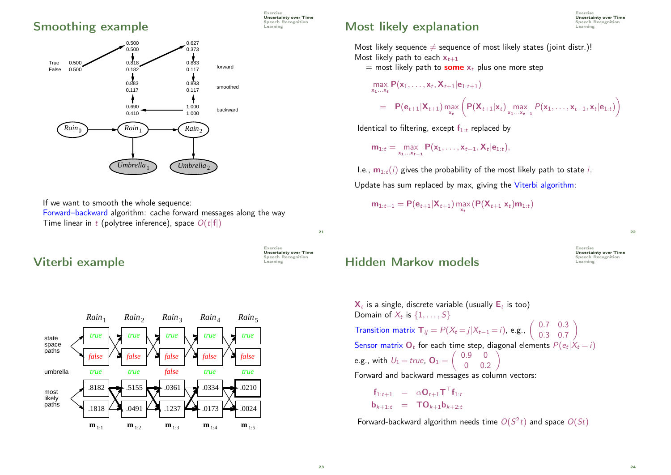#### Smoothing example Smoothing example



If we want to smooth the whole sequence: Forward–backward algorithm: cache forward messages along the way Time linear in t (polytree inference), space  $O(t|f|)$ 

#### Exercise Uncertainty over Time<br>Speech Recognition

21

Exercise

**Uncertainty over Time**<br>Speech Recognition

# Viterbi example



# $\mathsf{Most}$  likely explanation  $\mathsf{S}_{\text{learning}}$

Exercise **Uncertainty over Time**<br>Speech Recognition

Most likely sequence  $\neq$  sequence of most likely states (joint distr.)! Most likely path to each  $x_{t+1}$ 

= most likely path to **some**  $x_t$  plus one more step

$$
\max_{\mathbf{x}_1...\mathbf{x}_t} \mathbf{P}(\mathbf{x}_1,...,\mathbf{x}_t,\mathbf{X}_{t+1}|\mathbf{e}_{1:t+1})
$$
\n
$$
= \mathbf{P}(\mathbf{e}_{t+1}|\mathbf{X}_{t+1}) \max_{\mathbf{x}_t} \left(\mathbf{P}(\mathbf{X}_{t+1}|\mathbf{x}_t) \max_{\mathbf{x}_1...\mathbf{x}_{t-1}} \mathbf{P}(\mathbf{x}_1,...,\mathbf{x}_{t-1},\mathbf{x}_t|\mathbf{e}_{1:t})\right)
$$

Identical to filtering, except  $f_{1:t}$  replaced by

$$
m_{1:t} = \max_{x_1...x_{t-1}} P(x_1,...,x_{t-1},X_t|e_{1:t}),
$$

I.e.,  $m_{1:t}(i)$  gives the probability of the most likely path to state i. Update has sum replaced by max, giving the Viterbi algorithm:

 $\mathsf{m}_{1:t+1} = \mathsf{P}(\mathsf{e}_{t+1}|\mathsf{X}_{t+1}) \max_{\mathsf{x}_{t}} (\mathsf{P}(\mathsf{X}_{t+1}|\mathsf{x}_t)\mathsf{m}_{1:t})$ 

22

Exercise Uncertainty over Time<br>Speech Recognition Hidden Markov models

 $\mathbf{X}_t$  is a single, discrete variable (usually  $\mathsf{E}_t$  is too) Domain of  $X_t$  is  $\{1, \ldots, S\}$ **Transition matrix**  $T_{ij} = P(X_t = j | X_{t-1} = i)$ **, e.g.,**  $\begin{pmatrix} 0.7 & 0.3 \\ 0.3 & 0.7 \end{pmatrix}$ 0.3 0.7  $\overline{\phantom{0}}$ Sensor matrix  $\mathbf{O}_t$  for each time step, diagonal elements  $P(e_t|X_t = i)$ e.g., with  $U_1$  = true,  $O_1$  =  $\begin{pmatrix} 0.9 & 0 \end{pmatrix}$ 0 0.2  $\sqrt{ }$ Forward and backward messages as column vectors:

$$
\mathbf{f}_{1:t+1} = \alpha \mathbf{O}_{t+1} \mathbf{T}^{\top} \mathbf{f}_{1:t}
$$

$$
\mathbf{b}_{k+1:t} = \mathbf{TO}_{k+1} \mathbf{b}_{k+2:t}
$$

Forward-backward algorithm needs time  $O(S^2 t)$  and space  $O(St)$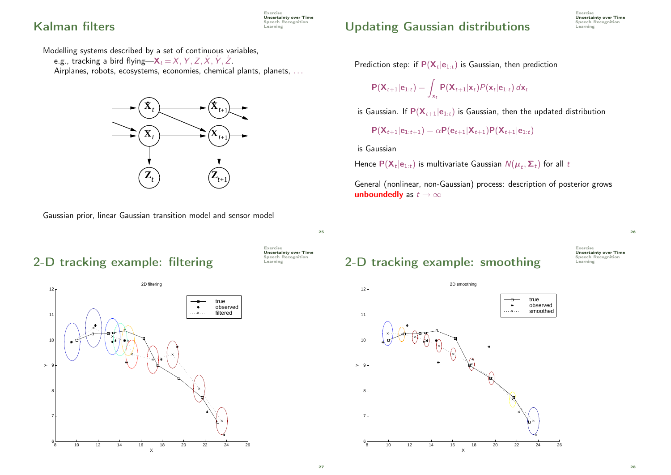## Kalman filters **Expection Control** Speech F

Exercise **Uncertainty over Time**<br>Speech Recognition

#### Modelling systems described by a set of continuous variables,

e.g., tracking a bird flying— $\mathsf{X}_t\!=\!\mathsf{X},\mathsf{Y},\mathsf{Z},\mathsf{X},\mathsf{Y},\mathsf{Z}.$ Airplanes, robots, ecosystems, economies, chemical plants, planets, ...





## Updating Gaussian distributions Speech is

Prediction step: if  $\mathsf{P}(\mathsf{X}_{t}|\mathsf{e}_{1:t})$  is Gaussian, then prediction

$$
\mathsf{P}(\mathsf{X}_{t+1}|\mathsf{e}_{1:t}) = \int_{\mathsf{x}_t} \mathsf{P}(\mathsf{X}_{t+1}|\mathsf{x}_t) \mathsf{P}(\mathsf{x}_t|\mathsf{e}_{1:t}) d\mathsf{x}_t
$$

is Gaussian. If  $P(X_{t+1}|e_{1:t})$  is Gaussian, then the updated distribution

$$
\mathsf{P}(\mathsf{X}_{t+1}|\mathsf{e}_{1:t+1}) = \alpha \mathsf{P}(\mathsf{e}_{t+1}|\mathsf{X}_{t+1}) \mathsf{P}(\mathsf{X}_{t+1}|\mathsf{e}_{1:t})
$$

is Gaussian

Hence  $\mathsf{P}(\mathsf{X}_t|\mathsf{e}_{1:t})$  is multivariate Gaussian  $\mathcal{N}(\boldsymbol{\mu}_t,\boldsymbol{\Sigma}_t)$  for all  $t$ 

General (nonlinear, non-Gaussian) process: description of posterior grows unboundedly as  $t \to \infty$ 

Exercise

26

**Uncertainty over Time**<br>Speech Recognition





# 2-D tracking example: smoothing  $\sum_{\text{Spectral}}$



25

Exercise

Uncertainty over Time<br>Speech Recognition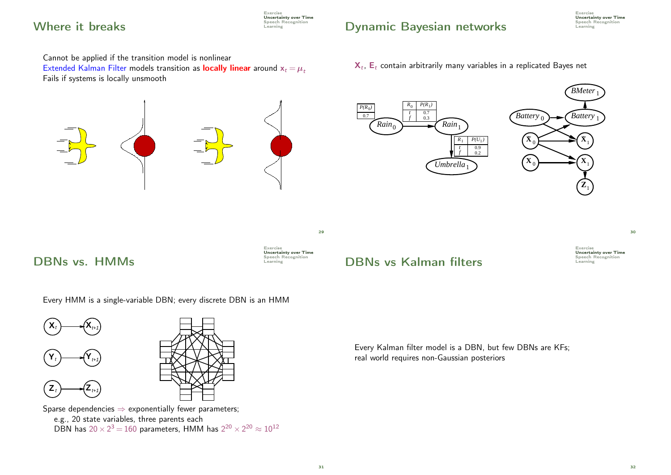## Where it breaks  $\sum_{\text{Spectral F}}$

Exercise Uncertainty over Time<br>Speech Recognition

# Dynamic Bayesian networks Speech F

Exercise **Uncertainty over Time**<br>Speech Recognition

Cannot be applied if the transition model is nonlinear

Extended Kalman Filter models transition as **locally linear** around  $x_t = \mu_t$ Fails if systems is locally unsmooth

#### $\mathsf{X}_t$ ,  $\mathsf{E}_t$  contain arbitrarily many variables in a replicated Bayes net



Every HMM is a single-variable DBN; every discrete DBN is an HMM



e.g., 20 state variables, three parents each DBN has  $20 \times 2^3 = 160$  parameters, HMM has  $2^{20} \times 2^{20} \approx 10^{12}$  Uncertainty over Time<br>Speech Recognition

30

Every Kalman filter model is a DBN, but few DBNs are KFs; real world requires non-Gaussian posteriors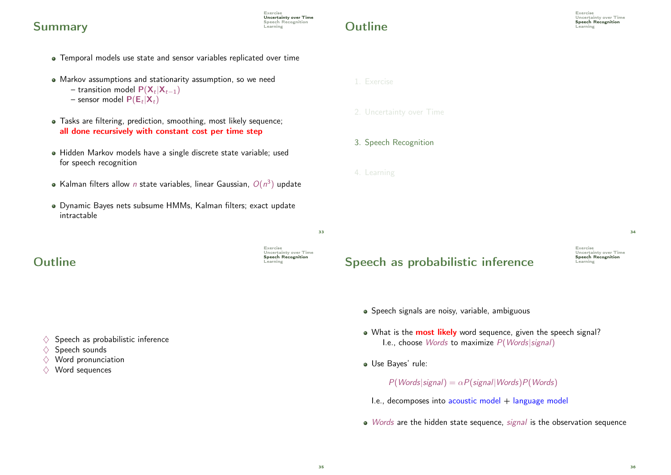### $Summary$   $S_{\text{terming}}$

Temporal models use state and sensor variables replicated over time

Exercise

Exercise

**Uncertainty over Time**<br>**Speech Recognition** 

**Uncertainty over Time**<br>Speech Recognition

- Markov assumptions and stationarity assumption, so we need − transition model  $P(X_t|X_{t-1})$ 
	- sensor model  $\mathsf{P}(\mathsf{E}_t | \mathsf{X}_t)$
- Tasks are filtering, prediction, smoothing, most likely sequence; all done recursively with constant cost per time step
- Hidden Markov models have a single discrete state variable; used for speech recognition
- Kalman filters allow n state variables, linear Gaussian,  $O(n^3)$  update
- Dynamic Bayes nets subsume HMMs, Kalman filters; exact update intractable

#### $Outline$   $\qquad \qquad \text{Spectral}$

- $\Diamond$  Speech as probabilistic inference
- $\Diamond$  Speech sounds
- $\Diamond$  Word pronunciation
- $\Diamond$  Word sequences
- Speech as probabilistic inference  $\sum_{\text{Learning}}$ 
	- Speech signals are noisy, variable, ambiguous
	- . What is the **most likely** word sequence, given the speech signal? I.e., choose Words to maximize P(Words|signal)
	- Use Bayes' rule:

 $P(Words|signal) = \alpha P(signal|Words)P(Words)$ 

- I.e., decomposes into acoustic model  $+$  language model
- Words are the hidden state sequence, signal is the observation sequence

3. Speech Recognition

2. Uncertainty over Time

4. Learning

1. Exercise

Exercise Uncertainty over Time<br>Speech Recognition  $\overline{34}$ 

 $33$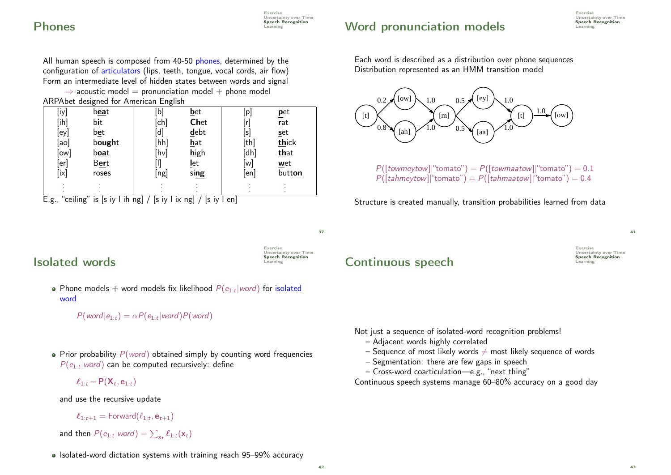#### Exercise **Uncertainty over Time**<br>**Speech Recognition** Word pronunciation models  $\mathbb{S}_{\text{Bessel}}$

# **Phones** Speech P

All human speech is composed from 40-50 phones, determined by the configuration of articulators (lips, teeth, tongue, vocal cords, air flow) Form an intermediate level of hidden states between words and signal  $\Rightarrow$  acoustic model = pronunciation model + phone model

ARPAbet designed for American English

| [iy]    | b <u>ea</u> t                    | [b]  | <b>b</b> et                       | $\left[\mathsf{p}\right]$ | pet    |
|---------|----------------------------------|------|-----------------------------------|---------------------------|--------|
| [ih]    | bit                              | [ch] | <b>Chet</b>                       |                           | rat    |
| $[$ ey] | bet                              | [d   | debt                              | [s]                       | set    |
| [ao]    | bought                           | [hh] | hat                               | [th]                      | thick  |
| [ow]    | b <u>oa</u> t                    | [hv] | high                              | [dh]                      | that   |
| [er]    | Bert                             |      | <b>l</b> et                       | [w]                       | wet    |
| [ix]    | roses                            | [ng] | sing                              | [en]                      | button |
|         |                                  |      |                                   |                           |        |
|         | □ 2010년 2010년 2월 12일 12월 12일 12월 | L. 1 | $\Gamma$ = $\sim$ $\sim$ $\Gamma$ | - -- I                    |        |

E.g., "ceiling" is  $|s|$  iy l ih ng $|/|s|$  iy l ix ng $|/|s|$  iy l en $|$ 

Each word is described as a distribution over phone sequences Distribution represented as an HMM transition model



 $P([townevtow]]$ "tomato") =  $P([townaatow]]$ "tomato") = 0.1  $P([tahmeytow]]$ "tomato") =  $P([tahmaatow]]$ "tomato") = 0.4

Structure is created manually, transition probabilities learned from data

37

Exercise

Uncertainty over Time **Speech Recognition** 

# Learning Isolated words

Phone models  $+$  word models fix likelihood  $P(e_{1:t}|word)$  for isolated word

 $P(word|e_{1:t}) = \alpha P(e_{1:t}|word)P(word)$ 

• Prior probability  $P(word)$  obtained simply by counting word frequencies  $P(e_{1:t} | word)$  can be computed recursively: define

 $\ell_{1:t}$   $=$   $\mathsf{P}(\mathsf{X}_t, \mathsf{e}_{1:t})$ 

and use the recursive update

$$
\boldsymbol{\ell}_{1:t+1} = \mathsf{Forward}(\ell_{1:t}, \mathbf{e}_{t+1})
$$

and then  $P(e_{1:t} | word) = \sum_{\mathbf{x}_t} \ell_{1:t}(\mathbf{x}_t)$ 

 $\bullet$  Isolated-word dictation systems with training reach 95–99% accuracy

## Continuous speech

Exercise Uncertainty over Time<br>Speech Recognition 41

Not just a sequence of isolated-word recognition problems!

- Adjacent words highly correlated
- Sequence of most likely words  $\neq$  most likely sequence of words
- Segmentation: there are few gaps in speech
- Cross-word coarticulation—e.g., "next thing"

Continuous speech systems manage 60–80% accuracy on a good day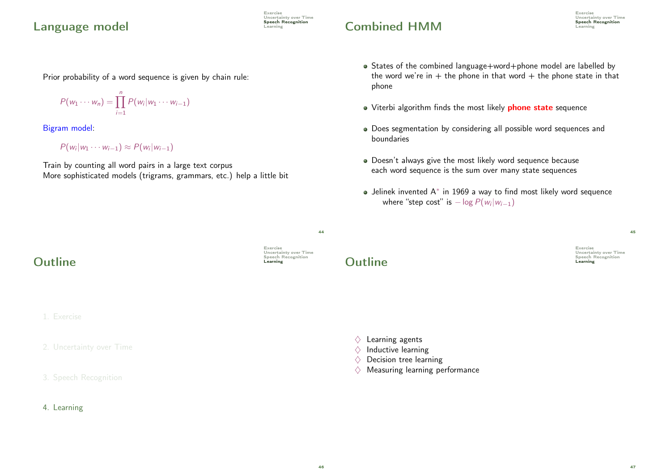### Language model speech Recording

Prior probability of a word sequence is given by chain rule:

$$
P(w_1\cdots w_n)=\prod_{i=1}^n P(w_i|w_1\cdots w_{i-1})
$$

Bigram model:

 $P(w_i|w_1\cdots w_{i-1})\approx P(w_i|w_{i-1})$ 

Train by counting all word pairs in a large text corpus More sophisticated models (trigrams, grammars, etc.) help a little bit

- States of the combined language+word+phone model are labelled by the word we're in + the phone in that word + the phone state in that phone
- Viterbi algorithm finds the most likely **phone state** sequence

Combined HMM Speech F

- Does segmentation by considering all possible word sequences and boundaries
- Doesn't always give the most likely word sequence because each word sequence is the sum over many state sequences
- Jelinek invented A<sup>∗</sup> in 1969 a way to find most likely word sequence where "step cost" is  $-\log P(w_i|w_{i-1})$

45

Exercise Uncertainty over Time<br>Speech Recognition

Exercise

Uncertainty over Time<br>Speech Recognition

 $Outline$ 

1. Exercise

2. Uncertainty over Time



Uncertainty over Time<br>Speech Recognition

Exercise

 $\overline{A}A$ 

Exercise

Uncertainty over Time<br>Speech Recognition



 $\Diamond$  Learning agents

- $\Diamond$  Inductive learning
- $\Diamond$  Decision tree learning
- $\diamondsuit$  Measuring learning performance